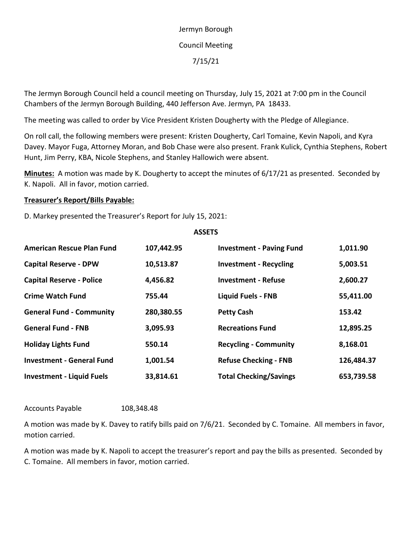## Jermyn Borough Council Meeting 7/15/21

The Jermyn Borough Council held a council meeting on Thursday, July 15, 2021 at 7:00 pm in the Council Chambers of the Jermyn Borough Building, 440 Jefferson Ave. Jermyn, PA 18433.

The meeting was called to order by Vice President Kristen Dougherty with the Pledge of Allegiance.

On roll call, the following members were present: Kristen Dougherty, Carl Tomaine, Kevin Napoli, and Kyra Davey. Mayor Fuga, Attorney Moran, and Bob Chase were also present. Frank Kulick, Cynthia Stephens, Robert Hunt, Jim Perry, KBA, Nicole Stephens, and Stanley Hallowich were absent.

**Minutes:** A motion was made by K. Dougherty to accept the minutes of 6/17/21 as presented. Seconded by K. Napoli. All in favor, motion carried.

## **Treasurer's Report/Bills Payable:**

D. Markey presented the Treasurer's Report for July 15, 2021:

## **ASSETS**

| <b>American Rescue Plan Fund</b> | 107,442.95 | <b>Investment - Paving Fund</b> | 1,011.90   |
|----------------------------------|------------|---------------------------------|------------|
| <b>Capital Reserve - DPW</b>     | 10,513.87  | <b>Investment - Recycling</b>   | 5,003.51   |
| <b>Capital Reserve - Police</b>  | 4,456.82   | <b>Investment - Refuse</b>      | 2,600.27   |
| <b>Crime Watch Fund</b>          | 755.44     | <b>Liquid Fuels - FNB</b>       | 55,411.00  |
| <b>General Fund - Community</b>  | 280,380.55 | <b>Petty Cash</b>               | 153.42     |
| <b>General Fund - FNB</b>        | 3,095.93   | <b>Recreations Fund</b>         | 12,895.25  |
| <b>Holiday Lights Fund</b>       | 550.14     | <b>Recycling - Community</b>    | 8,168.01   |
| <b>Investment - General Fund</b> | 1,001.54   | <b>Refuse Checking - FNB</b>    | 126,484.37 |
| <b>Investment - Liquid Fuels</b> | 33,814.61  | <b>Total Checking/Savings</b>   | 653,739.58 |

Accounts Payable 108,348.48

A motion was made by K. Davey to ratify bills paid on 7/6/21. Seconded by C. Tomaine. All members in favor, motion carried.

A motion was made by K. Napoli to accept the treasurer's report and pay the bills as presented. Seconded by C. Tomaine. All members in favor, motion carried.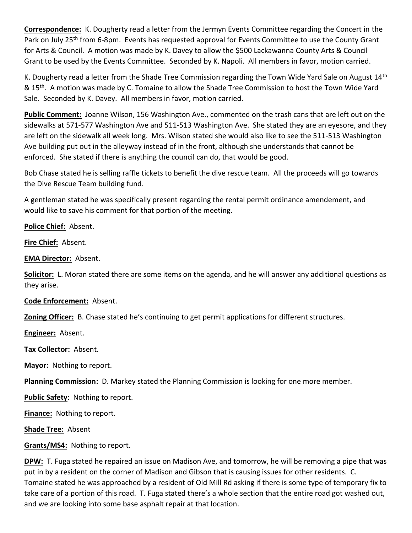**Correspondence:** K. Dougherty read a letter from the Jermyn Events Committee regarding the Concert in the Park on July 25<sup>th</sup> from 6-8pm. Events has requested approval for Events Committee to use the County Grant for Arts & Council. A motion was made by K. Davey to allow the \$500 Lackawanna County Arts & Council Grant to be used by the Events Committee. Seconded by K. Napoli. All members in favor, motion carried.

K. Dougherty read a letter from the Shade Tree Commission regarding the Town Wide Yard Sale on August  $14<sup>th</sup>$ & 15<sup>th</sup>. A motion was made by C. Tomaine to allow the Shade Tree Commission to host the Town Wide Yard Sale. Seconded by K. Davey. All members in favor, motion carried.

**Public Comment:** Joanne Wilson, 156 Washington Ave., commented on the trash cans that are left out on the sidewalks at 571-577 Washington Ave and 511-513 Washington Ave. She stated they are an eyesore, and they are left on the sidewalk all week long. Mrs. Wilson stated she would also like to see the 511-513 Washington Ave building put out in the alleyway instead of in the front, although she understands that cannot be enforced. She stated if there is anything the council can do, that would be good.

Bob Chase stated he is selling raffle tickets to benefit the dive rescue team. All the proceeds will go towards the Dive Rescue Team building fund.

A gentleman stated he was specifically present regarding the rental permit ordinance amendement, and would like to save his comment for that portion of the meeting.

**Police Chief:** Absent.

**Fire Chief:** Absent.

**EMA Director:** Absent.

**Solicitor:** L. Moran stated there are some items on the agenda, and he will answer any additional questions as they arise.

**Code Enforcement:** Absent.

**Zoning Officer:** B. Chase stated he's continuing to get permit applications for different structures.

**Engineer:** Absent.

**Tax Collector:** Absent.

**Mayor:** Nothing to report.

**Planning Commission:** D. Markey stated the Planning Commission is looking for one more member.

**Public Safety**: Nothing to report.

**Finance:** Nothing to report.

**Shade Tree:** Absent

**Grants/MS4:** Nothing to report.

**DPW:** T. Fuga stated he repaired an issue on Madison Ave, and tomorrow, he will be removing a pipe that was put in by a resident on the corner of Madison and Gibson that is causing issues for other residents. C. Tomaine stated he was approached by a resident of Old Mill Rd asking if there is some type of temporary fix to take care of a portion of this road. T. Fuga stated there's a whole section that the entire road got washed out, and we are looking into some base asphalt repair at that location.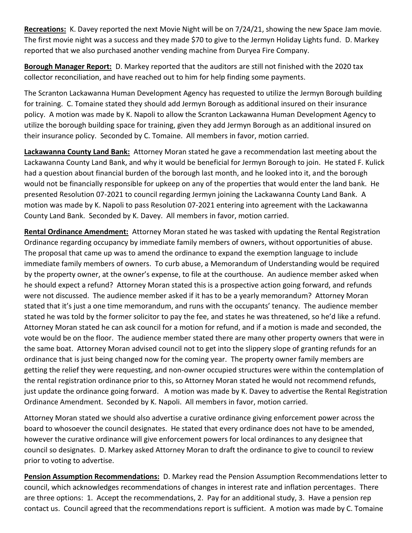**Recreations:** K. Davey reported the next Movie Night will be on 7/24/21, showing the new Space Jam movie. The first movie night was a success and they made \$70 to give to the Jermyn Holiday Lights fund. D. Markey reported that we also purchased another vending machine from Duryea Fire Company.

**Borough Manager Report:** D. Markey reported that the auditors are still not finished with the 2020 tax collector reconciliation, and have reached out to him for help finding some payments.

The Scranton Lackawanna Human Development Agency has requested to utilize the Jermyn Borough building for training. C. Tomaine stated they should add Jermyn Borough as additional insured on their insurance policy. A motion was made by K. Napoli to allow the Scranton Lackawanna Human Development Agency to utilize the borough building space for training, given they add Jermyn Borough as an additional insured on their insurance policy. Seconded by C. Tomaine. All members in favor, motion carried.

**Lackawanna County Land Bank:** Attorney Moran stated he gave a recommendation last meeting about the Lackawanna County Land Bank, and why it would be beneficial for Jermyn Borough to join. He stated F. Kulick had a question about financial burden of the borough last month, and he looked into it, and the borough would not be financially responsible for upkeep on any of the properties that would enter the land bank. He presented Resolution 07-2021 to council regarding Jermyn joining the Lackawanna County Land Bank. A motion was made by K. Napoli to pass Resolution 07-2021 entering into agreement with the Lackawanna County Land Bank. Seconded by K. Davey. All members in favor, motion carried.

**Rental Ordinance Amendment:** Attorney Moran stated he was tasked with updating the Rental Registration Ordinance regarding occupancy by immediate family members of owners, without opportunities of abuse. The proposal that came up was to amend the ordinance to expand the exemption language to include immediate family members of owners. To curb abuse, a Memorandum of Understanding would be required by the property owner, at the owner's expense, to file at the courthouse. An audience member asked when he should expect a refund? Attorney Moran stated this is a prospective action going forward, and refunds were not discussed. The audience member asked if it has to be a yearly memorandum? Attorney Moran stated that it's just a one time memorandum, and runs with the occupants' tenancy. The audience member stated he was told by the former solicitor to pay the fee, and states he was threatened, so he'd like a refund. Attorney Moran stated he can ask council for a motion for refund, and if a motion is made and seconded, the vote would be on the floor. The audience member stated there are many other property owners that were in the same boat. Attorney Moran advised council not to get into the slippery slope of granting refunds for an ordinance that is just being changed now for the coming year. The property owner family members are getting the relief they were requesting, and non-owner occupied structures were within the contemplation of the rental registration ordinance prior to this, so Attorney Moran stated he would not recommend refunds, just update the ordinance going forward. A motion was made by K. Davey to advertise the Rental Registration Ordinance Amendment. Seconded by K. Napoli. All members in favor, motion carried.

Attorney Moran stated we should also advertise a curative ordinance giving enforcement power across the board to whosoever the council designates. He stated that every ordinance does not have to be amended, however the curative ordinance will give enforcement powers for local ordinances to any designee that council so designates. D. Markey asked Attorney Moran to draft the ordinance to give to council to review prior to voting to advertise.

**Pension Assumption Recommendations:** D. Markey read the Pension Assumption Recommendations letter to council, which acknowledges recommendations of changes in interest rate and inflation percentages. There are three options: 1. Accept the recommendations, 2. Pay for an additional study, 3. Have a pension rep contact us. Council agreed that the recommendations report is sufficient. A motion was made by C. Tomaine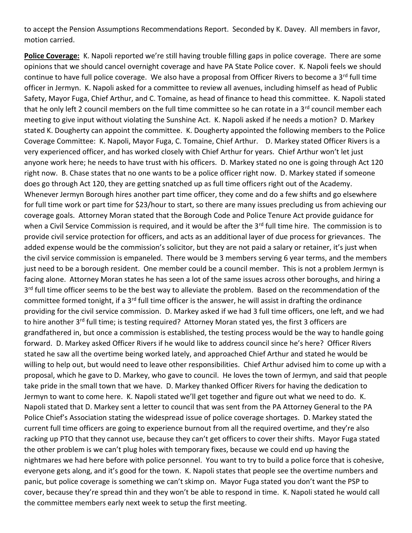to accept the Pension Assumptions Recommendations Report. Seconded by K. Davey. All members in favor, motion carried.

**Police Coverage:** K. Napoli reported we're still having trouble filling gaps in police coverage. There are some opinions that we should cancel overnight coverage and have PA State Police cover. K. Napoli feels we should continue to have full police coverage. We also have a proposal from Officer Rivers to become a 3<sup>rd</sup> full time officer in Jermyn. K. Napoli asked for a committee to review all avenues, including himself as head of Public Safety, Mayor Fuga, Chief Arthur, and C. Tomaine, as head of finance to head this committee. K. Napoli stated that he only left 2 council members on the full time committee so he can rotate in a 3<sup>rd</sup> council member each meeting to give input without violating the Sunshine Act. K. Napoli asked if he needs a motion? D. Markey stated K. Dougherty can appoint the committee. K. Dougherty appointed the following members to the Police Coverage Committee: K. Napoli, Mayor Fuga, C. Tomaine, Chief Arthur. D. Markey stated Officer Rivers is a very experienced officer, and has worked closely with Chief Arthur for years. Chief Arthur won't let just anyone work here; he needs to have trust with his officers. D. Markey stated no one is going through Act 120 right now. B. Chase states that no one wants to be a police officer right now. D. Markey stated if someone does go through Act 120, they are getting snatched up as full time officers right out of the Academy. Whenever Jermyn Borough hires another part time officer, they come and do a few shifts and go elsewhere for full time work or part time for \$23/hour to start, so there are many issues precluding us from achieving our coverage goals. Attorney Moran stated that the Borough Code and Police Tenure Act provide guidance for when a Civil Service Commission is required, and it would be after the 3<sup>rd</sup> full time hire. The commission is to provide civil service protection for officers, and acts as an additional layer of due process for grievances. The added expense would be the commission's solicitor, but they are not paid a salary or retainer, it's just when the civil service commission is empaneled. There would be 3 members serving 6 year terms, and the members just need to be a borough resident. One member could be a council member. This is not a problem Jermyn is facing alone. Attorney Moran states he has seen a lot of the same issues across other boroughs, and hiring a 3<sup>rd</sup> full time officer seems to be the best way to alleviate the problem. Based on the recommendation of the committee formed tonight, if a 3<sup>rd</sup> full time officer is the answer, he will assist in drafting the ordinance providing for the civil service commission. D. Markey asked if we had 3 full time officers, one left, and we had to hire another 3<sup>rd</sup> full time; is testing required? Attorney Moran stated yes, the first 3 officers are grandfathered in, but once a commission is established, the testing process would be the way to handle going forward. D. Markey asked Officer Rivers if he would like to address council since he's here? Officer Rivers stated he saw all the overtime being worked lately, and approached Chief Arthur and stated he would be willing to help out, but would need to leave other responsibilities. Chief Arthur advised him to come up with a proposal, which he gave to D. Markey, who gave to council. He loves the town of Jermyn, and said that people take pride in the small town that we have. D. Markey thanked Officer Rivers for having the dedication to Jermyn to want to come here. K. Napoli stated we'll get together and figure out what we need to do. K. Napoli stated that D. Markey sent a letter to council that was sent from the PA Attorney General to the PA Police Chief's Association stating the widespread issue of police coverage shortages. D. Markey stated the current full time officers are going to experience burnout from all the required overtime, and they're also racking up PTO that they cannot use, because they can't get officers to cover their shifts. Mayor Fuga stated the other problem is we can't plug holes with temporary fixes, because we could end up having the nightmares we had here before with police personnel. You want to try to build a police force that is cohesive, everyone gets along, and it's good for the town. K. Napoli states that people see the overtime numbers and panic, but police coverage is something we can't skimp on. Mayor Fuga stated you don't want the PSP to cover, because they're spread thin and they won't be able to respond in time. K. Napoli stated he would call the committee members early next week to setup the first meeting.